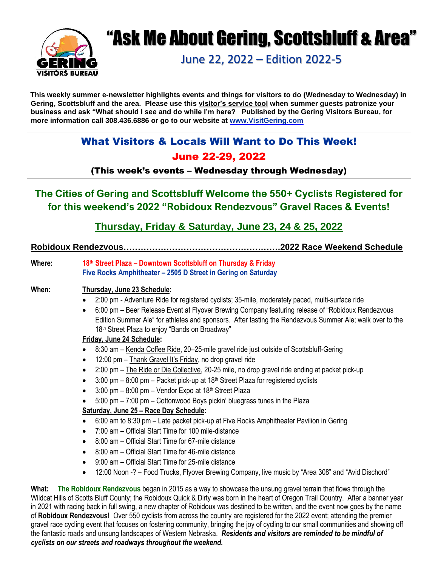

# "Ask Me About Gering, Scottsbluff & Area"

June 22, 2022 – Edition 2022-5

#### **This weekly summer e-newsletter highlights events and things for visitors to do (Wednesday to Wednesday) in Gering, Scottsbluff and the area. Please use this visitor's service tool when summer guests patronize your business and ask "What should I see and do while I'm here? Published by the Gering Visitors Bureau, for more information call 308.436.6886 or go to our website at [www.VisitGering.com](http://www.visitgering.com/)**

# What Visitors & Locals Will Want to Do This Week! June 22-29, 2022

### (This week's events – Wednesday through Wednesday)

# **The Cities of Gering and Scottsbluff Welcome the 550+ Cyclists Registered for for this weekend's 2022 "Robidoux Rendezvous" Gravel Races & Events!**

**Thursday, Friday & Saturday, June 23, 24 & 25, 2022** 

#### **Robidoux Rendezvous……………………………………………….2022 Race Weekend Schedule**

**Where: 18th Street Plaza – Downtown Scottsbluff on Thursday & Friday Five Rocks Amphitheater – 2505 D Street in Gering on Saturday**

#### **When: Thursday, June 23 Schedule:**

- 2:00 pm Adventure Ride for registered cyclists; 35-mile, moderately paced, multi-surface ride
- 6:00 pm Beer Release Event at Flyover Brewing Company featuring release of "Robidoux Rendezvous Edition Summer Ale" for athletes and sponsors. After tasting the Rendezvous Summer Ale; walk over to the 18<sup>th</sup> Street Plaza to enjoy "Bands on Broadway"

#### **Friday, June 24 Schedule:**

- 8:30 am Kenda Coffee Ride, 20–25-mile gravel ride just outside of Scottsbluff-Gering
- 12:00 pm Thank Gravel It's Friday, no drop gravel ride
- 2:00 pm The Ride or Die Collective, 20-25 mile, no drop gravel ride ending at packet pick-up
- 3:00 pm  $-$  8:00 pm  $-$  Packet pick-up at 18<sup>th</sup> Street Plaza for registered cyclists
- $3:00$  pm  $-8:00$  pm  $-$  Vendor Expo at 18<sup>th</sup> Street Plaza
- 5:00 pm 7:00 pm Cottonwood Boys pickin' bluegrass tunes in the Plaza

#### **Saturday, June 25 – Race Day Schedule:**

- 6:00 am to 8:30 pm Late packet pick-up at Five Rocks Amphitheater Pavilion in Gering
- 7:00 am Official Start Time for 100 mile-distance
- 8:00 am Official Start Time for 67-mile distance
- 8:00 am Official Start Time for 46-mile distance
- 9:00 am Official Start Time for 25-mile distance
- 12:00 Noon -? Food Trucks, Flyover Brewing Company, live music by "Area 308" and "Avid Dischord"

**What: The Robidoux Rendezvous** began in 2015 as a way to showcase the unsung gravel terrain that flows through the Wildcat Hills of Scotts Bluff County; the Robidoux Quick & Dirty was born in the heart of Oregon Trail Country. After a banner year in 2021 with racing back in full swing, a new chapter of Robidoux was destined to be written, and the event now goes by the name of **Robidoux Rendezvous!** Over 550 cyclists from across the country are registered for the 2022 event; attending the premier gravel race cycling event that focuses on fostering community, bringing the joy of cycling to our small communities and showing off the fantastic roads and unsung landscapes of Western Nebraska. *Residents and visitors are reminded to be mindful of cyclists on our streets and roadways throughout the weekend.*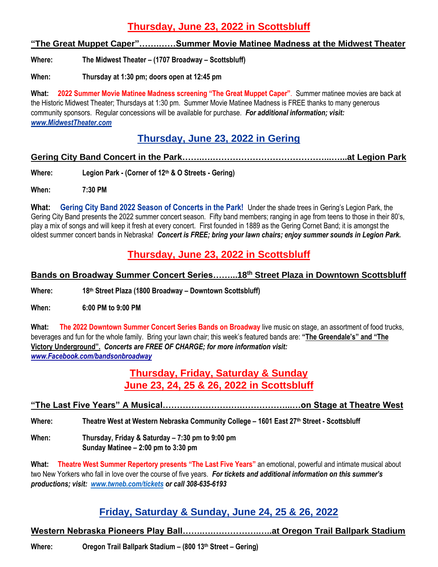# **Thursday, June 23, 2022 in Scottsbluff**

#### **"The Great Muppet Caper"…….……Summer Movie Matinee Madness at the Midwest Theater**

**Where: The Midwest Theater – (1707 Broadway – Scottsbluff)**

**When: Thursday at 1:30 pm; doors open at 12:45 pm**

**What: 2022 Summer Movie Matinee Madness screening "The Great Muppet Caper"**. Summer matinee movies are back at the Historic Midwest Theater; Thursdays at 1:30 pm. Summer Movie Matinee Madness is FREE thanks to many generous community sponsors. Regular concessions will be available for purchase. *For additional information; visit: [www.MidwestTheater.com](http://www.midwesttheater.com/)*

### **Thursday, June 23, 2022 in Gering**

#### **Gering City Band Concert in the Park…….….…………………………………...…...at Legion Park**

**Where: Legion Park - (Corner of 12th & O Streets - Gering)**

**When: 7:30 PM**

**What: Gering City Band 2022 Season of Concerts in the Park!** Under the shade trees in Gering's Legion Park, the Gering City Band presents the 2022 summer concert season. Fifty band members; ranging in age from teens to those in their 80's, play a mix of songs and will keep it fresh at every concert. First founded in 1889 as the Gering Cornet Band; it is amongst the oldest summer concert bands in Nebraska! *Concert is FREE; bring your lawn chairs; enjoy summer sounds in Legion Park.*

# **Thursday, June 23, 2022 in Scottsbluff**

### **Bands on Broadway Summer Concert Series……...18th Street Plaza in Downtown Scottsbluff**

**Where: 18th Street Plaza (1800 Broadway – Downtown Scottsbluff)** 

**When: 6:00 PM to 9:00 PM**

**What: The 2022 Downtown Summer Concert Series Bands on Broadway** live music on stage, an assortment of food trucks, beverages and fun for the whole family. Bring your lawn chair; this week's featured bands are: **"The Greendale's" and "The Victory Underground".** *Concerts are FREE OF CHARGE; for more information visit: [www.Facebook.com/bandsonbroadway](http://www.facebook.com/bandsonbroadway)*

### **Thursday, Friday, Saturday & Sunday June 23, 24, 25 & 26, 2022 in Scottsbluff**

**"The Last Five Years" A Musical……………………….……………...…on Stage at Theatre West**

**Where: Theatre West at Western Nebraska Community College – 1601 East 27th Street - Scottsbluff**

**When: Thursday, Friday & Saturday – 7:30 pm to 9:00 pm Sunday Matinee – 2:00 pm to 3:30 pm**

**What: Theatre West Summer Repertory presents "The Last Five Years"** an emotional, powerful and intimate musical about two New Yorkers who fall in love over the course of five years. *For tickets and additional information on this summer's productions; visit: [www.twneb.com/tickets](http://www.twneb.com/tickets) or call 308-635-6193*

### **Friday, Saturday & Sunday, June 24, 25 & 26, 2022**

#### **Western Nebraska Pioneers Play Ball…….….…………….…..at Oregon Trail Ballpark Stadium**

**Where: Oregon Trail Ballpark Stadium – (800 13th Street – Gering)**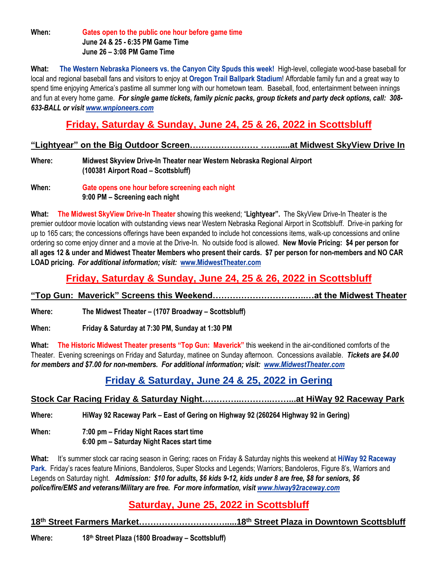**When: Gates open to the public one hour before game time June 24 & 25 - 6:35 PM Game Time June 26 – 3:08 PM Game Time**

**What: The Western Nebraska Pioneers vs. the Canyon City Spuds this week!** High-level, collegiate wood-base baseball for local and regional baseball fans and visitors to enjoy at **Oregon Trail Ballpark Stadium**! Affordable family fun and a great way to spend time enjoying America's pastime all summer long with our hometown team. Baseball, food, entertainment between innings and fun at every home game. *For single game tickets, family picnic packs, group tickets and party deck options, call: 308- 633-BALL or visit [www.wnpioneers.com](http://www.wnpioneers.com/)*

# **Friday, Saturday & Sunday, June 24, 25 & 26, 2022 in Scottsbluff**

#### **"Lightyear" on the Big Outdoor Screen…………………… …….....at Midwest SkyView Drive In**

**Where: Midwest Skyview Drive-In Theater near Western Nebraska Regional Airport (100381 Airport Road – Scottsbluff)**

**When: Gate opens one hour before screening each night 9:00 PM – Screening each night** 

**What: The Midwest SkyView Drive-In Theater** showing this weekend; "**Lightyear".** The SkyView Drive-In Theater is the premier outdoor movie location with outstanding views near Western Nebraska Regional Airport in Scottsbluff. Drive-in parking for up to 165 cars; the concessions offerings have been expanded to include hot concessions items, walk-up concessions and online ordering so come enjoy dinner and a movie at the Drive-In. No outside food is allowed. **New Movie Pricing: \$4 per person for all ages 12 & under and Midwest Theater Members who present their cards. \$7 per person for non-members and NO CAR LOAD pricing.** *For additional information; visit:* **[www.MidwestTheater.com](http://www.midwesttheater.com/)**

# **Friday, Saturday & Sunday, June 24, 25 & 26, 2022 in Scottsbluff**

# **"Top Gun: Maverick" Screens this Weekend……………………….…..…at the Midwest Theater**

**Where: The Midwest Theater – (1707 Broadway – Scottsbluff)**

**When: Friday & Saturday at 7:30 PM, Sunday at 1:30 PM**

**What: The Historic Midwest Theater presents "Top Gun: Maverick"** this weekend in the air-conditioned comforts of the Theater. Evening screenings on Friday and Saturday, matinee on Sunday afternoon. Concessions available. *Tickets are \$4.00 for members and \$7.00 for non-members. For additional information; visit: [www.MidwestTheater.com](http://www.midwesttheater.com/)*

# **Friday & Saturday, June 24 & 25, 2022 in Gering**

### **Stock Car Racing Friday & Saturday Night…………..………..……...at HiWay 92 Raceway Park**

**Where: HiWay 92 Raceway Park – East of Gering on Highway 92 (260264 Highway 92 in Gering)**

**When: 7:00 pm – Friday Night Races start time 6:00 pm – Saturday Night Races start time**

**What:** It's summer stock car racing season in Gering; races on Friday & Saturday nights this weekend at **HiWay 92 Raceway**  Park. Friday's races feature Minions, Bandoleros, Super Stocks and Legends; Warriors; Bandoleros, Figure 8's, Warriors and Legends on Saturday night. *Admission: \$10 for adults, \$6 kids 9-12, kids under 8 are free, \$8 for seniors, \$6 police/fire/EMS and veterans/Military are free. For more information, visi[t www.hiway92raceway.com](http://www.hiway92raceway.com/)*

# **Saturday, June 25, 2022 in Scottsbluff**

**18th Street Farmers Market………………………….....18th Street Plaza in Downtown Scottsbluff**

**Where: 18th Street Plaza (1800 Broadway – Scottsbluff)**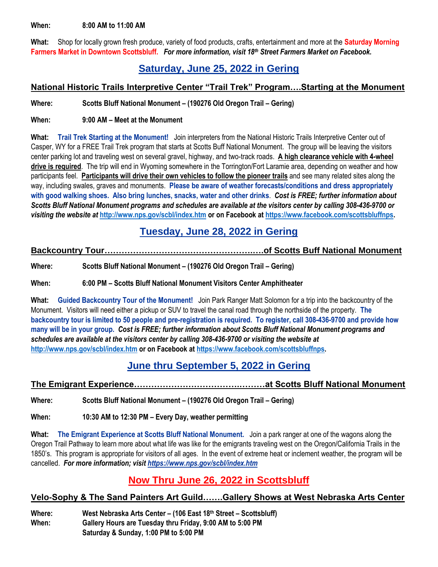**When: 8:00 AM to 11:00 AM**

**What:** Shop for locally grown fresh produce, variety of food products, crafts, entertainment and more at the **Saturday Morning Farmers Market in Downtown Scottsbluff.** *For more information, visit 18th Street Farmers Market on Facebook.*

### **Saturday, June 25, 2022 in Gering**

#### **National Historic Trails Interpretive Center "Trail Trek" Program….Starting at the Monument**

**Where: Scotts Bluff National Monument – (190276 Old Oregon Trail – Gering)**

**When: 9:00 AM – Meet at the Monument**

**What: Trail Trek Starting at the Monument!** Join interpreters from the National Historic Trails Interpretive Center out of Casper, WY for a FREE Trail Trek program that starts at Scotts Buff National Monument. The group will be leaving the visitors center parking lot and traveling west on several gravel, highway, and two-track roads. **A high clearance vehicle with 4-wheel drive is required**. The trip will end in Wyoming somewhere in the Torrington/Fort Laramie area, depending on weather and how participants feel. **Participants will drive their own vehicles to follow the pioneer trails** and see many related sites along the way, including swales, graves and monuments. **Please be aware of weather forecasts/conditions and dress appropriately with good walking shoes. Also bring lunches, snacks, water and other drinks**. *Cost is FREE; further information about Scotts Bluff National Monument programs and schedules are available at the visitors center by calling 308-436-9700 or visiting the website at* **<http://www.nps.gov/scbl/index.htm> or on Facebook at [https://www.facebook.com/scottsbluffnps.](https://www.facebook.com/scottsbluffnps)** 

### **Tuesday, June 28, 2022 in Gering**

#### **Backcountry Tour…………………………………………….….of Scotts Buff National Monument**

**Where: Scotts Bluff National Monument – (190276 Old Oregon Trail – Gering)**

**When: 6:00 PM – Scotts Bluff National Monument Visitors Center Amphitheater**

**What: Guided Backcountry Tour of the Monument!** Join Park Ranger Matt Solomon for a trip into the backcountry of the Monument. Visitors will need either a pickup or SUV to travel the canal road through the northside of the property. **The backcountry tour is limited to 50 people and pre-registration is required. To register, call 308-436-9700 and provide how many will be in your group.** *Cost is FREE; further information about Scotts Bluff National Monument programs and schedules are available at the visitors center by calling 308-436-9700 or visiting the website at*  **<http://www.nps.gov/scbl/index.htm> or on Facebook at [https://www.facebook.com/scottsbluffnps.](https://www.facebook.com/scottsbluffnps)** 

### **June thru September 5, 2022 in Gering**

#### **The Emigrant Experience……………………………….………at Scotts Bluff National Monument**

**Where: Scotts Bluff National Monument – (190276 Old Oregon Trail – Gering)**

**When: 10:30 AM to 12:30 PM – Every Day, weather permitting**

**What: The Emigrant Experience at Scotts Bluff National Monument.** Join a park ranger at one of the wagons along the Oregon Trail Pathway to learn more about what life was like for the emigrants traveling west on the Oregon/California Trails in the 1850's. This program is appropriate for visitors of all ages. In the event of extreme heat or inclement weather, the program will be cancelled. *For more information; visit<https://www.nps.gov/scbl/index.htm>*

# **Now Thru June 26, 2022 in Scottsbluff**

### **Velo-Sophy & The Sand Painters Art Guild…….Gallery Shows at West Nebraska Arts Center**

**Where: West Nebraska Arts Center – (106 East 18th Street – Scottsbluff) When: Gallery Hours are Tuesday thru Friday, 9:00 AM to 5:00 PM Saturday & Sunday, 1:00 PM to 5:00 PM**